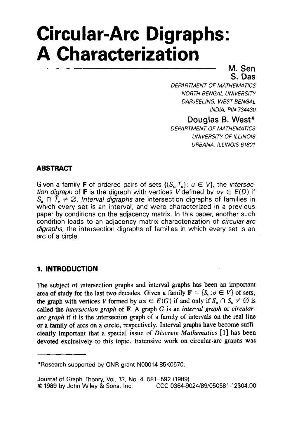# **Circular-Arc Digraphs: A Characterization**

## **M. Sen S. Das**

*DEPARTMENT OF MATHEMATICS*  **NORTH BENGAL UNIVERSITY** *DARJEELING, WEST BENGAL INDIA, PIN-734430* 

**Douglas 6. West\*** 

**DEPARTMENT OF MATHEMATICS** *UNIVERSITY OF ILLINOIS URBANA, ILLINOIS 61801* 

# **ABSTRACT**

Given a family **F** of ordered pairs of sets  $\{(S_u, T_u): u \in V\}$ , the *intersection digraph* of **F** is the digraph with vertices V defined by  $uv \in E(D)$  if  $S_u \cap T_v \neq \emptyset$ . Interval digraphs are intersection digraphs of families in which every set is an interval, and were characterized in a previous paper by conditions on the adjacency matrix. In this paper, another such condition leads to an adjacency matrix characterization of *circular-arc digraphs,* the intersection digraphs of families in which every set is an arc of a circle.

# **1. INTRODUCTION**

The subject of intersection graphs and interval graphs has been an important area of study for the last two decades. Given a family  $\mathbf{F} = \{S_n : v \in V\}$  of sets, the graph with vertices V formed by  $uv \in E(G)$  if and only if  $S_u \cap S_v \neq \emptyset$  is called **the** *intersection graph* of F. **A** graph G is an *interval graph* or *circulararc graph* if it is the intersection graph of a family of intervals on the real line or **a** family of arcs on **a** circle, respectively. Interval graphs have become sufficiently important that a special issue of *Discrete Mathematics* [ **13** has been devoted exclusively to this topic. Extensive work on circular-arc graphs was

<sup>\*</sup>Research supported by ONR grant N00014-85K0570.

Journal of Graph Theory, Vol. 13, No. 4, 581-592 (1989) *0* <sup>1989</sup>**by** John Wiley & Sons, Inc. *CCC* 0364-9024/89/050581-12\$04.00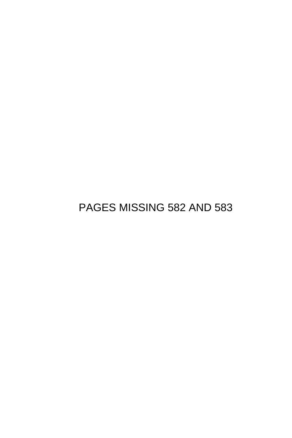PAGES MISSING 582 AND 583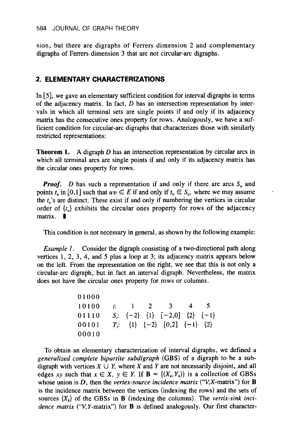sion, but there are digraphs of Ferrers dimension 2 and complementary digraphs of Ferrers dimension **3** that are not circular-arc digraphs.

## **2. ELEMENTARY CHARACTERIZATIONS**

In [5], we gave an elementary sufficient condition for interval digraphs in terms of the adjacency matrix. In fact,  $D$  has an intersection representation by intervals in which all terminal sets are single points if and only if its adjacency matrix has the consecutive ones property for rows. Analogously, we have a sufficient condition for circular-arc digraphs that characterizes those with similarly restricted representations:

**Theorem 1.** A digraph *D* has an intersection representation by circular arcs in which all terminal arcs are single points if and only if its adjacency matrix has the circular ones property for rows.

*Proof.* D has such a representation if and only if there are arcs  $S<sub>v</sub>$  and points  $t_n$  in [0,1] such that  $uv \in E$  if and only if  $t_v \in S_v$ , where we may assume the *t,'s* are distinct. These exist if and only if numbering the vertices in circular order of  $\{t_{\nu}\}\$  exhibits the circular ones property for rows of the adjacency matrix.  $\blacksquare$ 

This condition is not necessary in general, as shown by the following example:

*Example 1.* Consider the digraph consisting of a two-directional path along vertices 1, 2, **3, 4,** and *5* plus a loop at **3;** its adjacency matrix appears below on the left. From the representation on the right, we see that this is not only a circular-arc digraph, but in fact an interval digraph. Nevertheless, the matrix does not have the circular ones property for rows or columns.

> *0* **1000 10100** *i:* 1 *2 3* **45 01110**  $S_i$ :  $\{-2\}$   $\{1\}$   $[-2,0]$   $\{2\}$   $\{-1\}$ **00101** *Ti:* **(1)** *(-2)* [0,2] (-1) **(2)**  00010

To obtain an elementary characterization of interval digraphs, we defined a *generalized complete bipartite subdigraph* **(GBS)** of a digraph to be a subdigraph with vertices  $X \cup Y$ , where X and Y are not necessarily disjoint, and all edges *xy* such that  $x \in X$ ,  $y \in Y$ . If  $\mathbf{B} = \{(X_k, Y_k)\}\)$  is a collection of GBSs whose union is D, then the *vertex-source incidence matrix* ("V,X-matrix") for **B**  is the incidence matrix between the vertices (indexing the rows) and the sets of sources  $\{X_k\}$  of the GBSs in **B** (indexing the columns). The *vertix-sink incidence matrix* ("V,Y-matrix") for **B** is defined analogously. Our first character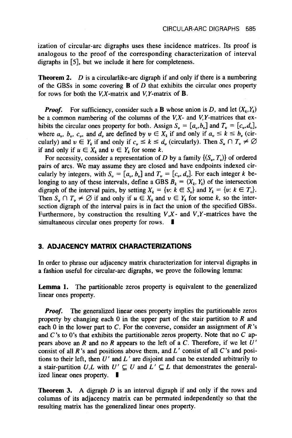ization of circular-arc digraphs uses these incidence matrices. Its proof is analogous to the proof of the corresponding characterization of interval digraphs in *[5],* but we include it here for completeness.

**Theorem 2.** *D* is a circularlike-arc digraph if and only if there is a numbering of the GBSs in some covering  $\bf{B}$  of  $\bf{D}$  that exhibits the circular ones property for rows for both the  $V, X$ -matrix and  $V, Y$ -matrix of **B**.

*Proof.* For sufficiency, consider such a **B** whose union is *D*, and let  $(X_k, Y_k)$ be a common numbering of the columns of the  $V, X$ - and  $V, Y$ -matrices that exhibits the circular ones property for both. Assign  $S_v = [a_v, b_v]$  and  $T_v = [c_v, d_v]$ , where  $a_{\nu}$ ,  $b_{\nu}$ ,  $c_{\nu}$ , and  $d_{\nu}$  are defined by  $\nu \in X_k$  if and only if  $a_{\nu} \le k \le b_{\nu}$  (circularly) and  $v \in Y_k$  if and only if  $c_v \le k \le d_v$  (circularly). Then  $S_u \cap T_v \ne \emptyset$ if and only if  $u \in X_k$  and  $v \in Y_k$  for some k.

For necessity, consider a representation of D by a family  $\{(S_u, T_v)\}\$ of ordered pairs of arcs. We may assume they are closed and have endpoints indexed circularly by integers, with  $S_n = [a_n, b_n]$  and  $T_n = [c_n, d_n]$ . For each integer k belonging to any of these intervals, define a GBS  $B_k = (X_k, Y_k)$  of the intersection digraph of the interval pairs, by setting  $X_k = \{v: k \in S_v\}$  and  $Y_k = \{v: k \in T_v\}$ . Then  $S_u \cap T_v \neq \emptyset$  if and only if  $u \in X_k$  and  $v \in Y_k$  for some k, so the intersection digraph of the interval pairs is in fact the union of the specified **GBSs.**  Furthermore, by construction the resulting  $V, X$ - and  $V, Y$ -matrices have the simultaneous circular ones property for rows.

### **3. ADJACENCY MATRIX CHARACTERIZATIONS**

In order to phrase our adjacency matrix characterization for interval digraphs in a fashion useful for circular-arc digraphs, we prove the following lemma:

Lemma 1. The partitionable zeros property is equivalent to the generalized linear ones property.

*Proof.* The generalized linear ones property implies the partitionable zeros property by changing each  $0$  in the upper part of the stair partition to  $R$  and each 0 in the lower part to  $C$ . For the converse, consider an assignment of  $R$ 's and C's to **0's** that exhibits the partitionable zeros property. Note that no *C* appears above an R and no R appears to the left of a C. Therefore, if we let *U'*  consist **of** all R 's and positions above them, and L ' consist of all **C's** and positions to their left, then  $U'$  and  $L'$  are disjoint and can be extended arbitrarily to a stair-partition  $U, L$  with  $U' \subseteq U$  and  $L' \subseteq L$  that demonstrates the generalized linear ones property.  $\blacksquare$ 

**Theorem 3. A** digraph D is an interval digraph if and only if the rows and columns of its adjacency matrix can be permuted independently so that the resulting matrix has the generalized linear ones property.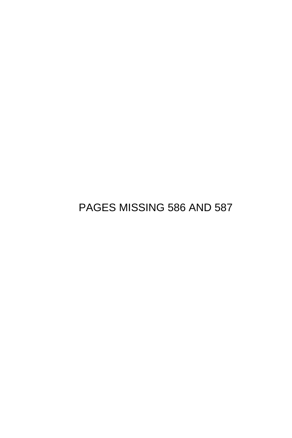PAGES MISSING 586 AND 587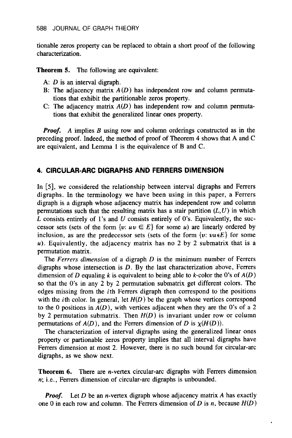tionable zeros property can be replaced to obtain a short proof of the following characterization.

**Theorem 5.** The following are equivalent:

- A: *D* is an interval digraph.
- B: The adjacency matrix  $A(D)$  has independent row and column permutations that exhibit the partitionable zeros property.
- C: The adjacency matrix *A(D)* has independent row and column permutations that exhibit the generalized linear ones property.

*Proof.* A implies *B* using row and column orderings constructed as in the preceding proof. Indeed, the method of proof of Theorem **4** shows that A and C are equivalent, and Lemma **1** is the equivalence of B and C.

#### **4. CIRCULAR-ARC DIGRAPHS AND FERRERS DIMENSION**

In *[5],* we considered the relationship between interval digraphs and Ferrers digraphs. In the terminology we have been using in this paper, a Ferrers digraph is a digraph whose adjacency matrix has independent row and column permutations such that the resulting matrix has a stair partition  $(L, U)$  in which *L* consists entirely of **1's** and *U* consists entirely of 0's. Equivalently, the successor sets (sets of the form  $\{v: uv \in E\}$  for some *u*) are linearly ordered by inclusion, as are the predecessor sets (sets of the form  $\{v: vu \in E\}$  for some *u).* Equivalently, the adjacency matrix has no 2 by 2 submatrix that is a permutation matrix.

The Ferrers dimension of a digraph *D* is the minimum number of Ferrers digraphs whose intersection is *D.* By the last characterization above, Ferrers dimension of *D* equaling *k* is equivalent to being able to *k*-color the 0's of  $A(D)$ so that the 0's in any 2 by 2 permutation submatrix get different colors. The edges missing from the ith Ferrers digraph then correspond to the positions with the *i*th color. In general, let  $H(D)$  be the graph whose vertices correspond to the 0 positions in *A(D),* with vertices adjacent when they are the 0's of a *2*  by 2 permutation submatrix. Then  $H(D)$  is invariant under row or column permutations of  $A(D)$ , and the Ferrers dimension of *D* is  $\chi(H(D))$ .

The characterization of interval digraphs using the generalized linear ones property or partionable zeros property implies that all interval digraphs have Ferrers dimension at most 2. However, there is no such bound for circular-arc digraphs, as we show next.

Theorem 6. There are *n*-vertex circular-arc digraphs with Ferrers dimension *n;* i.e., Ferrers dimension of circular-arc digraphs is unbounded.

*Proof.* Let *D* be an n-vertex digraph whose adjacency matrix *A* has exactly one 0 in each row and column. The Ferrers dimension of *D* is n, because *H(D)*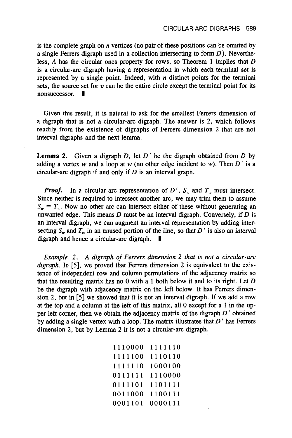is the complete graph on *n* vertices (no pair of these positions can be omitted by a single Ferrers digraph used in a collection intersecting to form  $D$ ). Nevertheless, *A* has the circular ones property for rows, so Theorem **1** implies that D is a circular-arc digraph having a representation in which each terminal set is represented by a single point. Indeed, with *n* distinct points for the terminal sets, the source set for  $v$  can be the entire circle except the terminal point for its nonsuccessor.

Given this result, it is natural to ask for the smallest Ferrers dimension of a digraph that is not a circular-arc digraph. The answer is 2, which follows readily from the existence of digraphs of Ferrers dimension 2 that are not interval digraphs and the next lemma.

**Lemma 2.** Given a digraph  $D$ , let  $D'$  be the digraph obtained from  $D$  by adding a vertex w and a loop at w (no other edge incident to w). Then  $D'$  is a circular-arc digraph if and only if  $D$  is an interval graph.

*Proof.* In a circular-arc representation of  $D'$ ,  $S_n$  and  $T_n$  must intersect. Since neither is required to intersect another arc, we may trim them to assume  $S_{\nu} = T_{\nu}$ . Now no other arc can intersect either of these without generating an unwanted edge. This means  $D$  must be an interval digraph. Conversely, if  $D$  is an interval digraph, we can augment an interval representation by adding intersecting  $S_w$  and  $T_w$  in an unused portion of the line, so that  $D'$  is also an interval digraph and hence a circular-arc digraph.

*Example. 2. A digraph of Ferrers dimension 2 that is not a circular-arc digraph.* In *[5],* we proved that Ferrers dimension 2 is equivalent to the existence of independent row and column permutations of the adjacency matrix so that the resulting matrix has no 0 with a **1** both below it and to its right. Let D be the digraph with adjacency matrix on the left below. It has Ferrers dimension 2, but in [5] we showed that it is not an interval digraph. If we add a row at the top and a column at the left of this matrix, all 0 except for a **1** in the upper left corner, then we obtain the adjacency matrix of the digraph  $D'$  obtained by adding a single vertex with a loop. The matrix illustrates that  $D'$  has Ferrers dimension 2, but by Lemma 2 it is not a circular-arc digraph.

| 1110000 | 1111110 |
|---------|---------|
| 1111100 | 1110110 |
| 1111110 | 1000100 |
| 0111111 | 1110000 |
| 0111101 | 1101111 |
| 0011000 | 1100111 |
| 0001101 | 0000111 |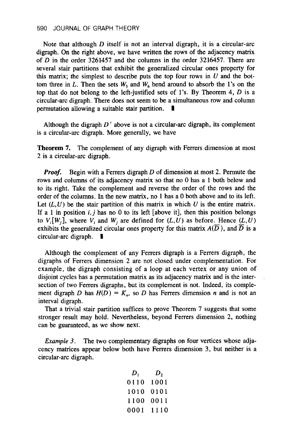Note that although *D* itself is not an interval digraph, it is a circular-arc digraph. On the right above, we have written the rows of the adjacency matrix of D in the order **3261457** and the columns in the order **3216457.** There are several stair partitions that exhibit the generalized circular ones property for this matrix; the simplest to describe puts the top four rows in *U* and the bottom three in L. Then the sets  $W_5$  and  $W_6$  bend around to absorb the 1's on the top that do not belong to the left-justified sets of **1's.** By Theorem **4,** *D* is a circular-arc digraph. There does not seem to be a simultaneous row and column permutation allowing a suitable stair partition. **1** 

Although the digraph *D* ' above is not a circular-arc digraph, its complement is a circular-arc digraph. More generally, we have

Theorem 7. The complement of any digraph with Ferrers dimension at most 2 is a circular-arc digraph.

*Proof.* Begin with a Ferrers digraph *D* of dimension at most **2.** Permute the rows and columns of its adjacency matrix so that no 0 has a **1** both below and to its right. Take the complement and reverse the order of the rows and the order of the columns. In the new matrix, no **1** has a **0** both above and to its left. Let  $(L, U)$  be the stair partition of this matrix in which  $U$  is the entire matrix. If a 1 in position  $i, j$  has no 0 to its left [above it], then this position belongs to  $V_i[W_i]$ , where  $V_i$  and  $W_j$  are defined for  $(L, U)$  as before. Hence  $(L, U)$ exhibits the generalized circular ones property for this matrix  $A(\overline{D})$ , and  $\overline{D}$  is a circular-arc digraph.  $\blacksquare$ 

Although the complement of any Ferrers digraph is a Ferrers digraph, the digraphs of Ferrers dimension **2** are not closed under complementation. For example, the digraph consisting of a loop at each vertex or any union of disjoint cycles has a permutation matrix as its adjacency matrix and is the intersection of two Ferrers digraphs, but its complement is not. Indeed, its complement digraph D has  $H(D) = K_n$ , so D has Ferrers dimension *n* and is not an interval digraph.

That a trivial stair partition suffices to prove Theorem 7 suggests that some stronger result may hold. Nevertheless, beyond Ferrers dimension **2,** nothing can be guaranteed, as we show next.

*Example 3.* The two complementary digraphs on four vertices whose adjacency matrices appear below both have Ferrers dimension 3, but neither is a circular-arc digraph.

$$
\begin{array}{ccc}\nD_1 & D_2 \\
0110 & 1001 \\
1010 & 0101 \\
1100 & 0011 \\
0001 & 1110\n\end{array}
$$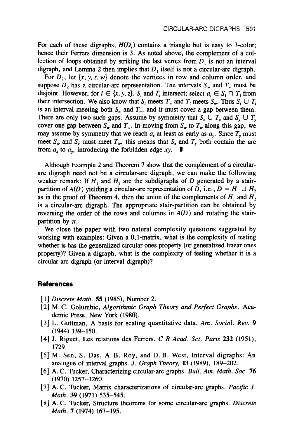For each of these digraphs,  $H(D_i)$  contains a triangle but is easy to 3-color; hence their Ferrers dimension is 3. As noted above, the complement of a collection of loops obtained by striking the last vertex from  $D_1$  is not an interval digraph, and Lemma 2 then implies that  $D_1$  itself is not a circular-arc digraph.

For  $D_2$ , let  $\{x, y, z, w\}$  denote the vertices in row and column order, and suppose  $D_2$  has a circular-arc representation. The intervals  $S_w$  and  $T_w$  must be disjoint. However, for  $i \in \{x, y, z\}$ ,  $S_i$  and  $T_i$  intersect; select  $a_i \in S_i \cap T_i$  from their intersection. We also know that  $S_i$  meets  $T_w$  and  $T_i$  meets  $S_w$ . Thus  $S_i \cup T_i$ is an interval meeting both  $S<sub>w</sub>$  and  $T<sub>w</sub>$ , and it must cover a gap between them. There are only two such gaps. Assume by symmetry that  $S_x \cup T_x$  and  $S_y \cup T_y$ cover one gap between  $S_w$  and  $T_w$ . In moving from  $S_w$  to  $T_w$  along this gap, we may assume by symmetry that we reach  $a_x$  at least as early as  $a_y$ . Since  $T_y$  must meet  $S_w$  and  $S_x$  must meet  $T_w$ , this means that  $S_x$  and  $T_y$  both contain the arc from  $a_x$  to  $a_y$ , introducing the forbidden edge *xy*.

Although Example 2 and Theorem 7 show that the complement of a circulararc digraph need not be a circular-arc digraph, we can make the following weaker remark: If  $H_1$  and  $H_2$  are the subdigraphs of *D* generated by a stairpartition of  $A(D)$  yielding a circular-arc representation of *D*, i.e.,  $D = H_1 \cup H_2$ as in the proof of Theorem 4, then the union of the complements of  $H_1$  and  $H_2$ is a circular-arc digraph, The appropriate stair-partition can be obtained by reversing the order of the rows and columns in  $A(D)$  and rotating the stairpartition by  $\pi$ .

We close the paper with two natural complexity questions suggested by working with examples: Given a 0,l-matrix, what is the complexity of testing whether is has the generalized circular ones property (or generalized linear ones property)? Given a digraph, what is the complexity of testing whether it is a circular-arc digraph (or interval digraph)?

### **References**

- [l] *Discrete Math. 55* (1985), Number 2.
- [2] M. C. Golumbic, *Algorithmic Graph Theory and Perfect Graphs.* Aca demic Press, New York (1980).
- [3] L. Guttman, A basis for scaling quantitative data. *Am. Sociol. Rev. 9*  (1944) 139-150.
- [4] J. Riguet, Les relations des Ferrers. *C R Acad. Sci. Paris 232* (1951), 1729.
- [5] M. Sen, **S.** Das, A. B. Roy, and D. B. West, Interval digraphs: An analogue of interval graphs. J. *Graph Theory,* **l3** (1989), 189-202.
- [6] A. C. Tucker, Characterizing circular-arc graphs. *Bull. Am. Math. Soc.* **76** (1970) 1257-1260.
- [7] A. C. Tucker, Matrix characterizations of circular-arc graphs. *Pacific J. Math.* **39** (1971) **535-545.**
- [8] A. C. Tucker, Structure theorems for some circular-arc graphs. *Discrete Math. 7* (1974) 167-195.